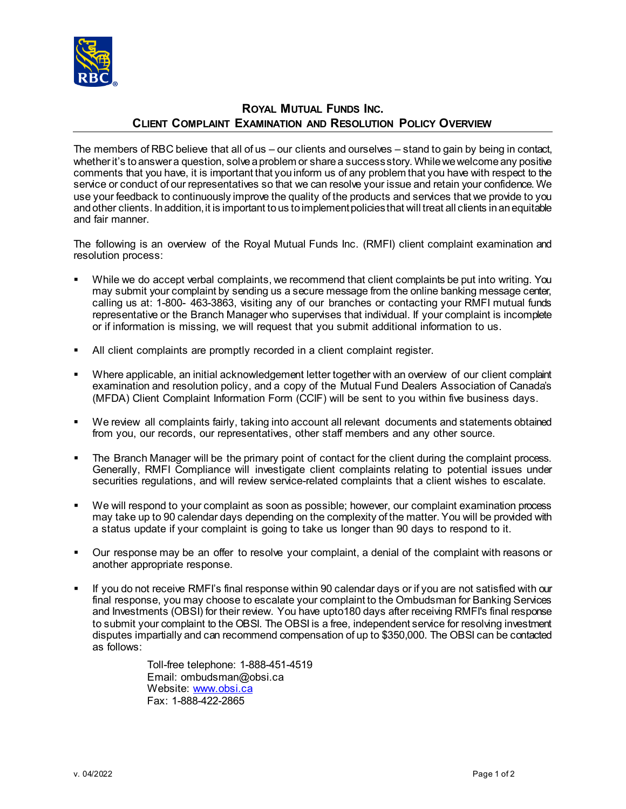

## **ROYAL MUTUAL FUNDS INC. CLIENT COMPLAINT EXAMINATION AND RESOLUTION POLICY OVERVIEW**

The members of RBC believe that all of us – our clients and ourselves – stand to gain by being in contact, whether it's to answer a question, solve a problem or share a success story. While we welcome any positive comments that you have, it is important that you inform us of any problem that you have with respect to the service or conduct of our representatives so that we can resolve your issue and retain your confidence. We use your feedback to continuously improve the quality of the products and services that we provide to you and other clients. In addition, it is important to us to implement policies that will treat all clients in an equitable and fair manner.

The following is an overview of the Royal Mutual Funds Inc. (RMFI) client complaint examination and resolution process:

- While we do accept verbal complaints, we recommend that client complaints be put into writing. You may submit your complaint by sending us a secure message from the online banking message center, calling us at: 1-800- 463-3863, visiting any of our branches or contacting your RMFI mutual funds representative or the Branch Manager who supervises that individual. If your complaint is incomplete or if information is missing, we will request that you submit additional information to us.
- All client complaints are promptly recorded in a client complaint register.
- Where applicable, an initial acknowledgement letter together with an overview of our client complaint examination and resolution policy, and a copy of the Mutual Fund Dealers Association of Canada's (MFDA) Client Complaint Information Form (CCIF) will be sent to you within five business days.
- We review all complaints fairly, taking into account all relevant documents and statements obtained from you, our records, our representatives, other staff members and any other source.
- The Branch Manager will be the primary point of contact for the client during the complaint process. Generally, RMFI Compliance will investigate client complaints relating to potential issues under securities regulations, and will review service-related complaints that a client wishes to escalate.
- We will respond to your complaint as soon as possible; however, our complaint examination process may take up to 90 calendar days depending on the complexity of the matter. You will be provided with a status update if your complaint is going to take us longer than 90 days to respond to it.
- Our response may be an offer to resolve your complaint, a denial of the complaint with reasons or another appropriate response.
- If you do not receive RMFI's final response within 90 calendar days or if you are not satisfied with our final response, you may choose to escalate your complaint to the Ombudsman for Banking Services and Investments (OBSI) for their review. You have upto180 days after receiving RMFI's final response to submit your complaint to the OBSI. The OBSI is a free, independent service for resolving investment disputes impartially and can recommend compensation of up to \$350,000. The OBSI can be contacted as follows:

Toll-free telephone: 1-888-451-4519 Email: ombudsman@obsi.ca Website[: www.obsi.ca](http://www.obsi.ca/) Fax: 1-888-422-2865